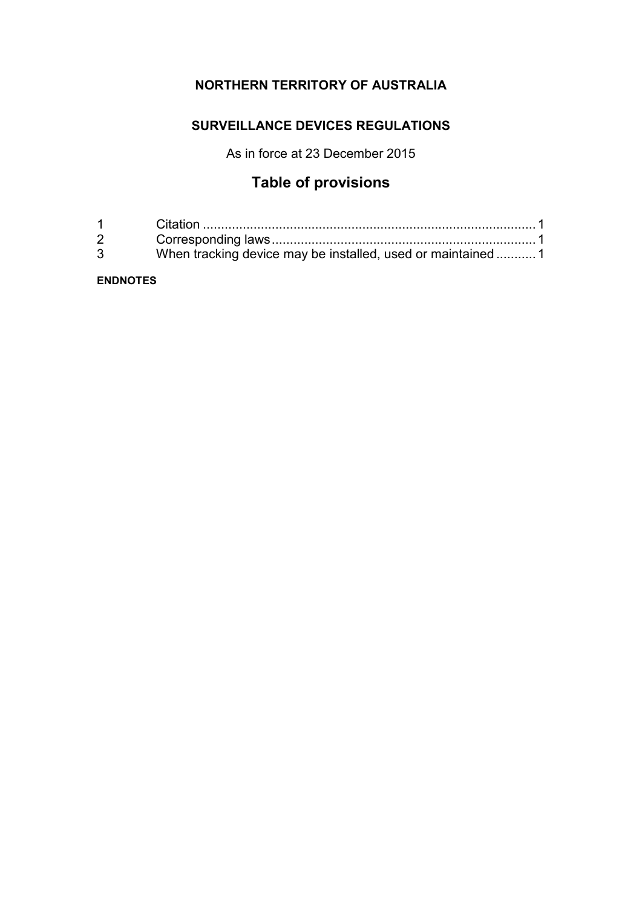## **NORTHERN TERRITORY OF AUSTRALIA**

## **SURVEILLANCE DEVICES REGULATIONS**

As in force at 23 December 2015

## **Table of provisions**

| $1 \quad \blacksquare$         |                                                             |  |
|--------------------------------|-------------------------------------------------------------|--|
| $2 \left( \frac{1}{2} \right)$ |                                                             |  |
| $\mathbf{3}$                   | When tracking device may be installed, used or maintained 1 |  |

## **ENDNOTES**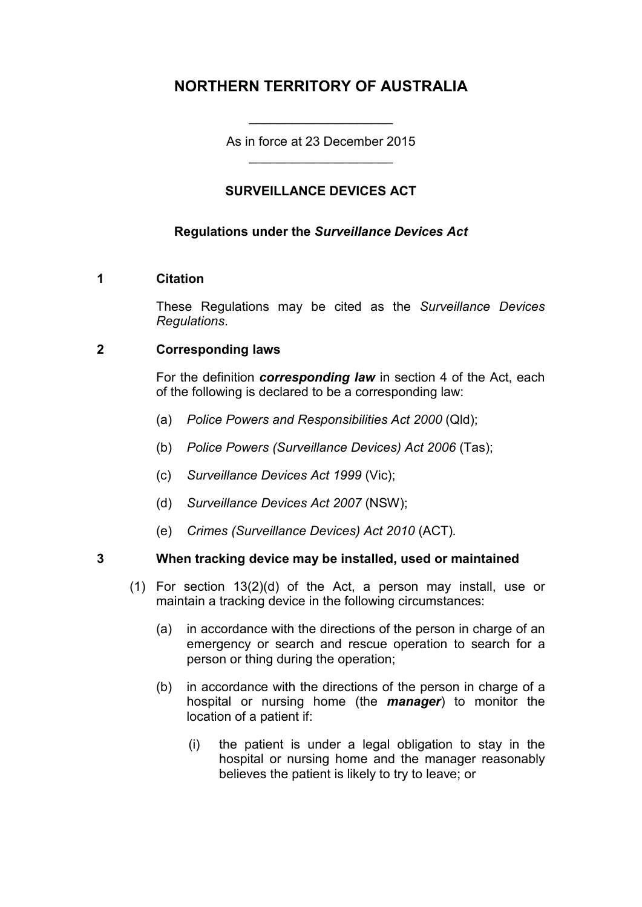## **NORTHERN TERRITORY OF AUSTRALIA**

As in force at 23 December 2015 \_\_\_\_\_\_\_\_\_\_\_\_\_\_\_\_\_\_\_\_

\_\_\_\_\_\_\_\_\_\_\_\_\_\_\_\_\_\_\_\_

## **SURVEILLANCE DEVICES ACT**

## **Regulations under the** *Surveillance Devices Act*

### **1 Citation**

These Regulations may be cited as the *Surveillance Devices Regulations*.

## **2 Corresponding laws**

For the definition *corresponding law* in section 4 of the Act, each of the following is declared to be a corresponding law:

- (a) *Police Powers and Responsibilities Act 2000* (Qld);
- (b) *Police Powers (Surveillance Devices) Act 2006* (Tas);
- (c) *Surveillance Devices Act 1999* (Vic);
- (d) *Surveillance Devices Act 2007* (NSW);
- (e) *Crimes (Surveillance Devices) Act 2010* (ACT)*.*

## **3 When tracking device may be installed, used or maintained**

- (1) For section 13(2)(d) of the Act, a person may install, use or maintain a tracking device in the following circumstances:
	- (a) in accordance with the directions of the person in charge of an emergency or search and rescue operation to search for a person or thing during the operation;
	- (b) in accordance with the directions of the person in charge of a hospital or nursing home (the *manager*) to monitor the location of a patient if:
		- (i) the patient is under a legal obligation to stay in the hospital or nursing home and the manager reasonably believes the patient is likely to try to leave; or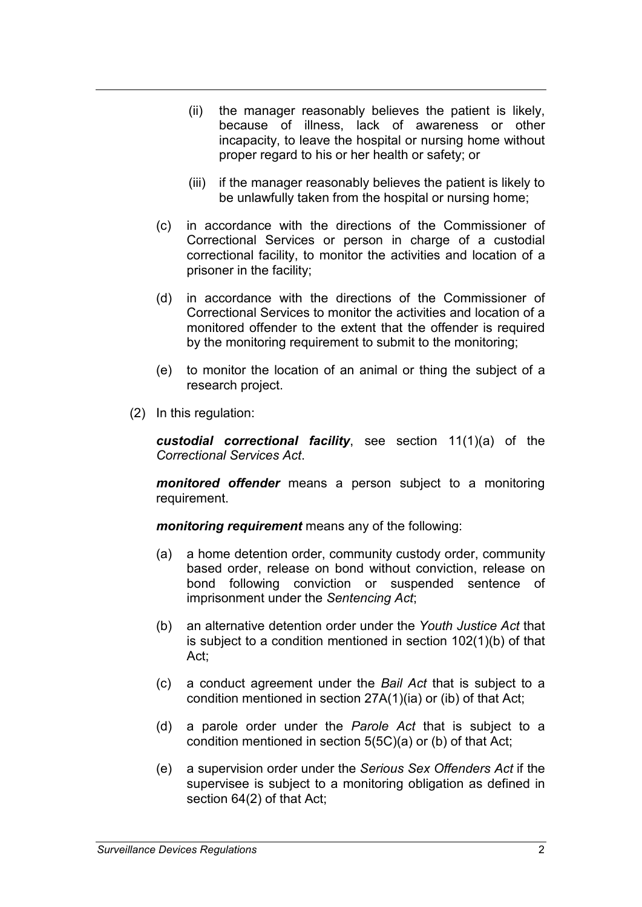- (ii) the manager reasonably believes the patient is likely, because of illness, lack of awareness or other incapacity, to leave the hospital or nursing home without proper regard to his or her health or safety; or
- (iii) if the manager reasonably believes the patient is likely to be unlawfully taken from the hospital or nursing home;
- (c) in accordance with the directions of the Commissioner of Correctional Services or person in charge of a custodial correctional facility, to monitor the activities and location of a prisoner in the facility;
- (d) in accordance with the directions of the Commissioner of Correctional Services to monitor the activities and location of a monitored offender to the extent that the offender is required by the monitoring requirement to submit to the monitoring;
- (e) to monitor the location of an animal or thing the subject of a research project.
- (2) In this regulation:

*custodial correctional facility*, see section 11(1)(a) of the *Correctional Services Act*.

*monitored offender* means a person subject to a monitoring requirement.

*monitoring requirement* means any of the following:

- (a) a home detention order, community custody order, community based order, release on bond without conviction, release on bond following conviction or suspended sentence of imprisonment under the *Sentencing Act*;
- (b) an alternative detention order under the *Youth Justice Act* that is subject to a condition mentioned in section 102(1)(b) of that Act;
- (c) a conduct agreement under the *Bail Act* that is subject to a condition mentioned in section 27A(1)(ia) or (ib) of that Act;
- (d) a parole order under the *Parole Act* that is subject to a condition mentioned in section 5(5C)(a) or (b) of that Act;
- (e) a supervision order under the *Serious Sex Offenders Act* if the supervisee is subject to a monitoring obligation as defined in section 64(2) of that Act;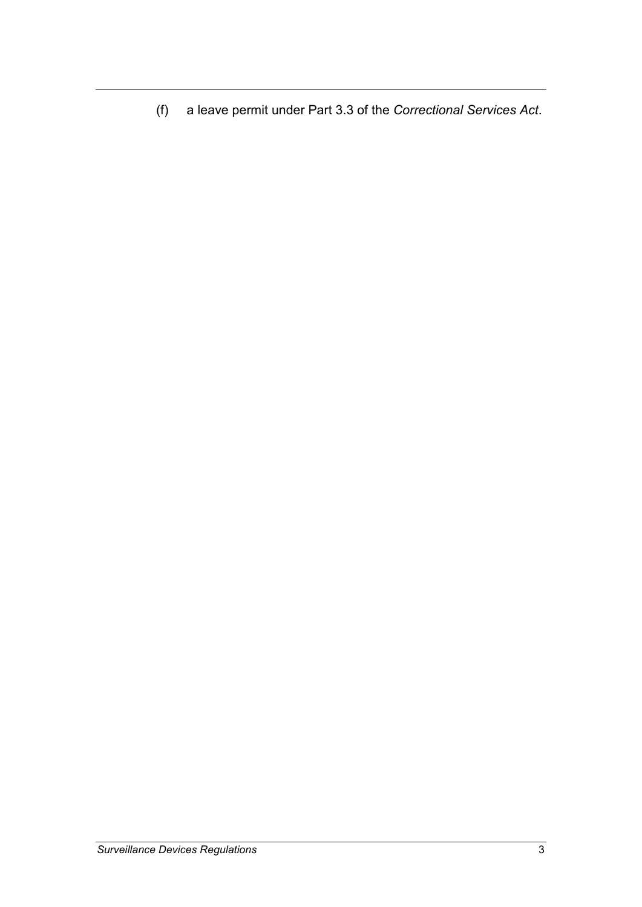(f) a leave permit under Part 3.3 of the *Correctional Services Act*.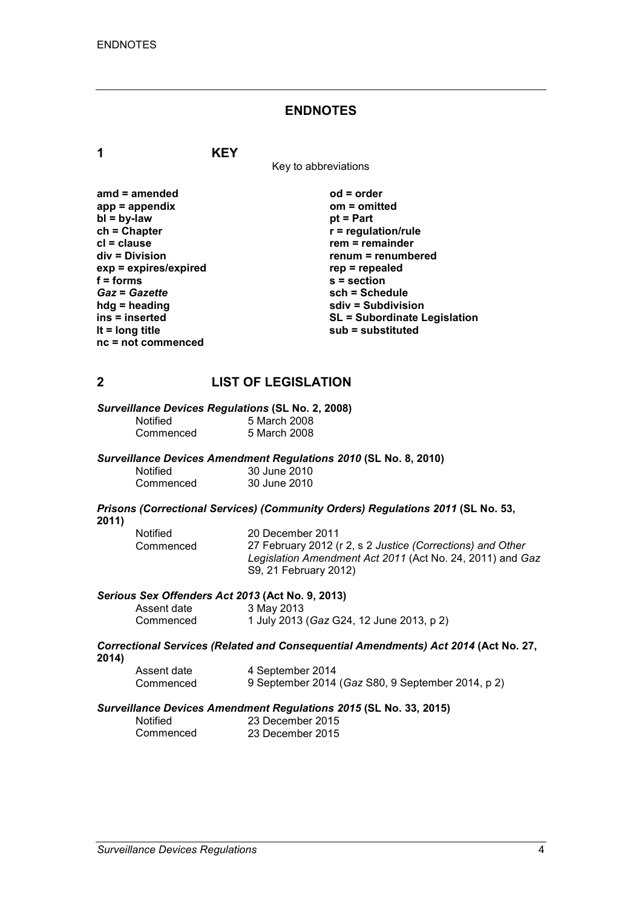#### **ENDNOTES**

**1 KEY**

Key to abbreviations

| amd = amended           |
|-------------------------|
| $app = appendix$        |
| $bl = by-law$           |
| $ch = Chapter$          |
| cl = clause             |
| div = Division          |
| $exp = expires/expired$ |
| $f = forms$             |
| <b>Gaz = Gazette</b>    |
| hdg = heading           |
| ins = inserted          |
| It = $long$ title       |
| nc = not commenced      |

**amd = amended od = order app = appendix om = omitted** *<u>pt</u>* **= Part**  $r$  = regulation/rule **rem = remainder div = Division renum = renumbered exp = expires/expired rep = repealed f = forms s = section** *Gaz* **=** *Gazette* **sch = Schedule hdg = heading sdiv = Subdivision ins = inserted SL = Subordinate Legislation lt = long title sub = substituted**

## **2 LIST OF LEGISLATION**

## *Surveillance Devices Regulations* **(SL No. 2, 2008)**

| Notified  | 5 March 2008 |
|-----------|--------------|
| Commenced | 5 March 2008 |

#### *Surveillance Devices Amendment Regulations 2010* **(SL No. 8, 2010)**

| <b>Notified</b> | 30 June 2010 |
|-----------------|--------------|
| Commenced       | 30 June 2010 |

#### *Prisons (Correctional Services) (Community Orders) Regulations 2011* **(SL No. 53, 2011)**

| Notified  | 20 December 2011                                           |
|-----------|------------------------------------------------------------|
| Commenced | 27 February 2012 (r 2, s 2 Justice (Corrections) and Other |
|           | Legislation Amendment Act 2011 (Act No. 24, 2011) and Gaz  |
|           | S9, 21 February 2012)                                      |

#### *Serious Sex Offenders Act 2013* **(Act No. 9, 2013)**

| Assent date | 3 May 2013                               |
|-------------|------------------------------------------|
| Commenced   | 1 July 2013 (Gaz G24, 12 June 2013, p 2) |

#### *Correctional Services (Related and Consequential Amendments) Act 2014* **(Act No. 27, 2014)**

| Assent date | 4 September 2014                                  |
|-------------|---------------------------------------------------|
| Commenced   | 9 September 2014 (Gaz S80, 9 September 2014, p 2) |

# *Surveillance Devices Amendment Regulations 2015* **(SL No. 33, 2015)**

| <b>Notified</b> | 23 December 2015 |
|-----------------|------------------|
| Commenced       | 23 December 2015 |